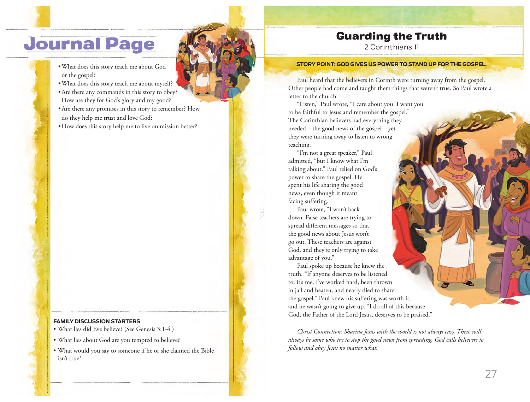# **Journal Page**

- What does this story teach me about God or the gospel?
- What does this story teach me about myself?
- Are there any commands in this story to obey? How are they for God's glory and my good?
- Are there any promises in this story to remember? How do they help me trust and love God?
- How does this story help me to live on mission better?

#### **FAMILY DISCUSSION STARTERS**

- What lies did Eve believe? (See Genesis 3:1-4.)
- What lies about God are you tempted to believe?
- What would you say to someone if he or she claimed the Bible isn't true?

## Guarding the Truth

2 Corinthians 11

#### **STORY POINT: GOD GIVES US POWER TO STAND UP FOR THE GOSPEL.**

Paul heard that the believers in Corinth were turning away from the gospel. Other people had come and taught them things that weren't true. So Paul wrote a letter to the church.

"Listen," Paul wrote, "I care about you. I want you to be faithful to Jesus and remember the gospel." The Corinthian believers had everything they needed—the good news of the gospel—yet they were turning away to listen to wrong teaching.

"I'm not a great speaker," Paul admitted, "but I know what I'm talking about." Paul relied on God's power to share the gospel. He spent his life sharing the good news, even though it meant facing suffering.

Paul wrote, "I won't back down. False teachers are trying to spread different messages so that the good news about Jesus won't go out. These teachers are against God, and they're only trying to take advantage of you."

Paul spoke up because he knew the truth. "If anyone deserves to be listened to, it's me. I've worked hard, been thrown in jail and beaten, and nearly died to share the gospel." Paul knew his suffering was worth it, and he wasn't going to give up. "I do all of this because God, the Father of the Lord Jesus, deserves to be praised."

*Christ Connection: Sharing Jesus with the world is not always easy. There will always be some who try to stop the good news from spreading. God calls believers to follow and obey Jesus no matter what.*